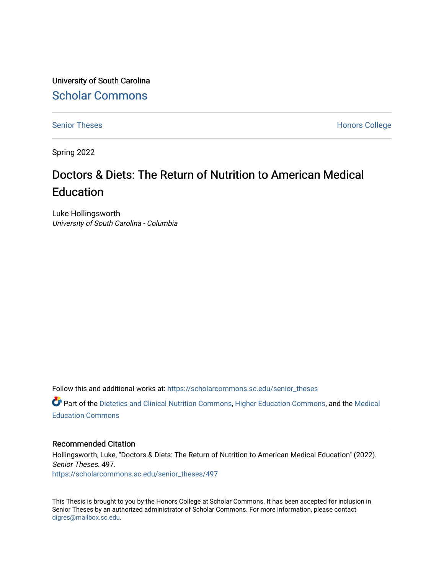University of South Carolina [Scholar Commons](https://scholarcommons.sc.edu/) 

[Senior Theses](https://scholarcommons.sc.edu/senior_theses) **Honors College** Honors College

Spring 2022

# Doctors & Diets: The Return of Nutrition to American Medical **Education**

Luke Hollingsworth University of South Carolina - Columbia

Follow this and additional works at: [https://scholarcommons.sc.edu/senior\\_theses](https://scholarcommons.sc.edu/senior_theses?utm_source=scholarcommons.sc.edu%2Fsenior_theses%2F497&utm_medium=PDF&utm_campaign=PDFCoverPages) 

Part of the [Dietetics and Clinical Nutrition Commons,](http://network.bepress.com/hgg/discipline/662?utm_source=scholarcommons.sc.edu%2Fsenior_theses%2F497&utm_medium=PDF&utm_campaign=PDFCoverPages) [Higher Education Commons](http://network.bepress.com/hgg/discipline/1245?utm_source=scholarcommons.sc.edu%2Fsenior_theses%2F497&utm_medium=PDF&utm_campaign=PDFCoverPages), and the [Medical](http://network.bepress.com/hgg/discipline/1125?utm_source=scholarcommons.sc.edu%2Fsenior_theses%2F497&utm_medium=PDF&utm_campaign=PDFCoverPages) [Education Commons](http://network.bepress.com/hgg/discipline/1125?utm_source=scholarcommons.sc.edu%2Fsenior_theses%2F497&utm_medium=PDF&utm_campaign=PDFCoverPages) 

### Recommended Citation

Hollingsworth, Luke, "Doctors & Diets: The Return of Nutrition to American Medical Education" (2022). Senior Theses. 497. [https://scholarcommons.sc.edu/senior\\_theses/497](https://scholarcommons.sc.edu/senior_theses/497?utm_source=scholarcommons.sc.edu%2Fsenior_theses%2F497&utm_medium=PDF&utm_campaign=PDFCoverPages) 

This Thesis is brought to you by the Honors College at Scholar Commons. It has been accepted for inclusion in Senior Theses by an authorized administrator of Scholar Commons. For more information, please contact [digres@mailbox.sc.edu](mailto:digres@mailbox.sc.edu).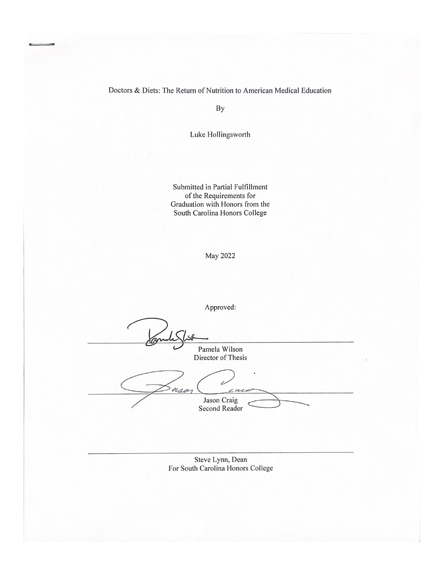Doctors & Diets: The Return of Nutrition to American Medical Education

By

Luke Hollingsworth

Submitted in Partial Fulfillment of the Requirements for Graduation with Honors from the South Carolina Honors College

May 2022

| Pamela Wilson<br>Director of Thesis                   |
|-------------------------------------------------------|
| ٠<br>asa<br>case                                      |
| Jason Craig<br><b>Second Reader</b>                   |
|                                                       |
| Steve Lynn, Dean<br>For South Carolina Honors College |
|                                                       |
|                                                       |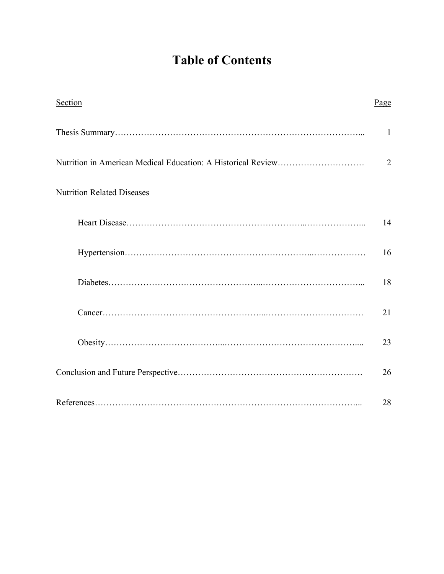# **Table of Contents**

| Section                           | Page           |
|-----------------------------------|----------------|
|                                   | $\mathbf{1}$   |
|                                   | $\overline{2}$ |
| <b>Nutrition Related Diseases</b> |                |
|                                   | 14             |
|                                   | 16             |
|                                   | 18             |
|                                   | 21             |
|                                   | 23             |
|                                   | 26             |
|                                   | 28             |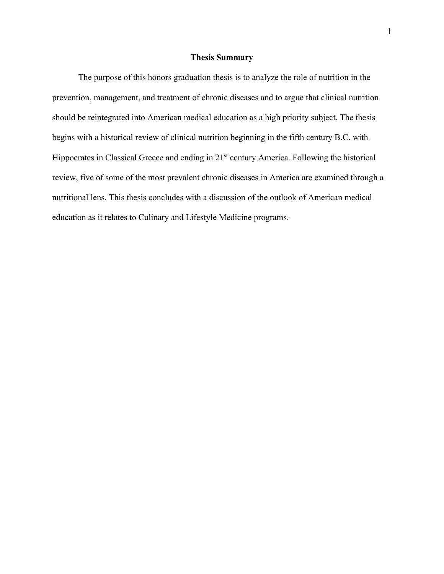#### **Thesis Summary**

The purpose of this honors graduation thesis is to analyze the role of nutrition in the prevention, management, and treatment of chronic diseases and to argue that clinical nutrition should be reintegrated into American medical education as a high priority subject. The thesis begins with a historical review of clinical nutrition beginning in the fifth century B.C. with Hippocrates in Classical Greece and ending in 21<sup>st</sup> century America. Following the historical review, five of some of the most prevalent chronic diseases in America are examined through a nutritional lens. This thesis concludes with a discussion of the outlook of American medical education as it relates to Culinary and Lifestyle Medicine programs.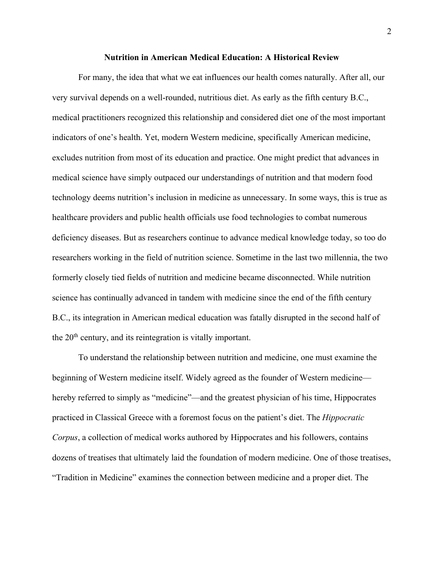#### **Nutrition in American Medical Education: A Historical Review**

For many, the idea that what we eat influences our health comes naturally. After all, our very survival depends on a well-rounded, nutritious diet. As early as the fifth century B.C., medical practitioners recognized this relationship and considered diet one of the most important indicators of one's health. Yet, modern Western medicine, specifically American medicine, excludes nutrition from most of its education and practice. One might predict that advances in medical science have simply outpaced our understandings of nutrition and that modern food technology deems nutrition's inclusion in medicine as unnecessary. In some ways, this is true as healthcare providers and public health officials use food technologies to combat numerous deficiency diseases. But as researchers continue to advance medical knowledge today, so too do researchers working in the field of nutrition science. Sometime in the last two millennia, the two formerly closely tied fields of nutrition and medicine became disconnected. While nutrition science has continually advanced in tandem with medicine since the end of the fifth century B.C., its integration in American medical education was fatally disrupted in the second half of the  $20<sup>th</sup>$  century, and its reintegration is vitally important.

To understand the relationship between nutrition and medicine, one must examine the beginning of Western medicine itself. Widely agreed as the founder of Western medicine hereby referred to simply as "medicine"—and the greatest physician of his time, Hippocrates practiced in Classical Greece with a foremost focus on the patient's diet. The *Hippocratic Corpus*, a collection of medical works authored by Hippocrates and his followers, contains dozens of treatises that ultimately laid the foundation of modern medicine. One of those treatises, "Tradition in Medicine" examines the connection between medicine and a proper diet. The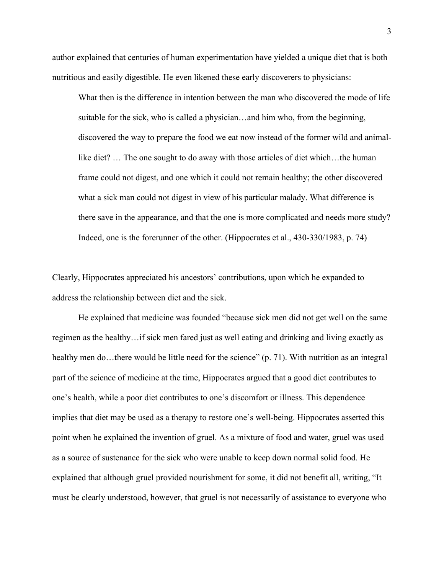author explained that centuries of human experimentation have yielded a unique diet that is both nutritious and easily digestible. He even likened these early discoverers to physicians:

What then is the difference in intention between the man who discovered the mode of life suitable for the sick, who is called a physician…and him who, from the beginning, discovered the way to prepare the food we eat now instead of the former wild and animallike diet? … The one sought to do away with those articles of diet which…the human frame could not digest, and one which it could not remain healthy; the other discovered what a sick man could not digest in view of his particular malady. What difference is there save in the appearance, and that the one is more complicated and needs more study? Indeed, one is the forerunner of the other. (Hippocrates et al., 430-330/1983, p. 74)

Clearly, Hippocrates appreciated his ancestors' contributions, upon which he expanded to address the relationship between diet and the sick.

He explained that medicine was founded "because sick men did not get well on the same regimen as the healthy…if sick men fared just as well eating and drinking and living exactly as healthy men do...there would be little need for the science" (p. 71). With nutrition as an integral part of the science of medicine at the time, Hippocrates argued that a good diet contributes to one's health, while a poor diet contributes to one's discomfort or illness. This dependence implies that diet may be used as a therapy to restore one's well-being. Hippocrates asserted this point when he explained the invention of gruel. As a mixture of food and water, gruel was used as a source of sustenance for the sick who were unable to keep down normal solid food. He explained that although gruel provided nourishment for some, it did not benefit all, writing, "It must be clearly understood, however, that gruel is not necessarily of assistance to everyone who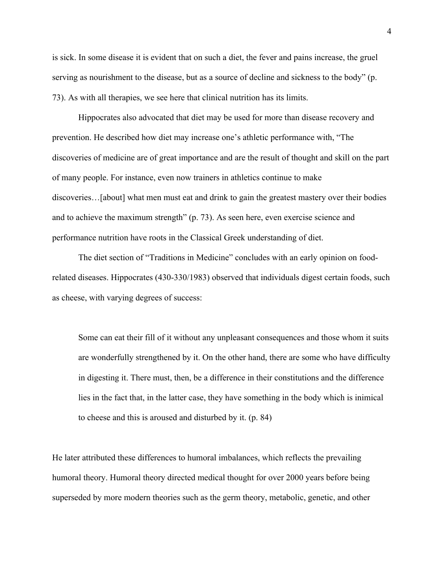is sick. In some disease it is evident that on such a diet, the fever and pains increase, the gruel serving as nourishment to the disease, but as a source of decline and sickness to the body" (p. 73). As with all therapies, we see here that clinical nutrition has its limits.

Hippocrates also advocated that diet may be used for more than disease recovery and prevention. He described how diet may increase one's athletic performance with, "The discoveries of medicine are of great importance and are the result of thought and skill on the part of many people. For instance, even now trainers in athletics continue to make discoveries…[about] what men must eat and drink to gain the greatest mastery over their bodies and to achieve the maximum strength" (p. 73). As seen here, even exercise science and performance nutrition have roots in the Classical Greek understanding of diet.

The diet section of "Traditions in Medicine" concludes with an early opinion on foodrelated diseases. Hippocrates (430-330/1983) observed that individuals digest certain foods, such as cheese, with varying degrees of success:

Some can eat their fill of it without any unpleasant consequences and those whom it suits are wonderfully strengthened by it. On the other hand, there are some who have difficulty in digesting it. There must, then, be a difference in their constitutions and the difference lies in the fact that, in the latter case, they have something in the body which is inimical to cheese and this is aroused and disturbed by it. (p. 84)

He later attributed these differences to humoral imbalances, which reflects the prevailing humoral theory. Humoral theory directed medical thought for over 2000 years before being superseded by more modern theories such as the germ theory, metabolic, genetic, and other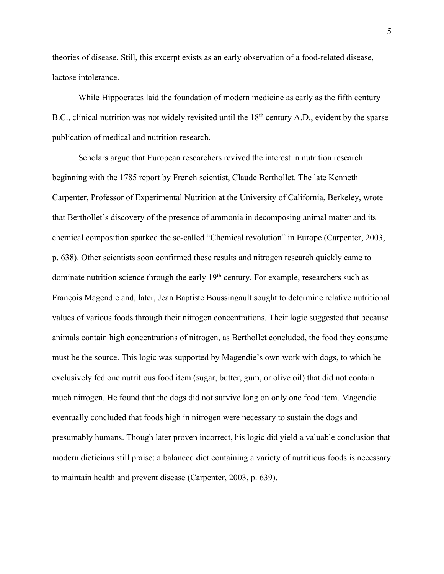theories of disease. Still, this excerpt exists as an early observation of a food-related disease, lactose intolerance.

While Hippocrates laid the foundation of modern medicine as early as the fifth century B.C., clinical nutrition was not widely revisited until the 18<sup>th</sup> century A.D., evident by the sparse publication of medical and nutrition research.

Scholars argue that European researchers revived the interest in nutrition research beginning with the 1785 report by French scientist, Claude Berthollet. The late Kenneth Carpenter, Professor of Experimental Nutrition at the University of California, Berkeley, wrote that Berthollet's discovery of the presence of ammonia in decomposing animal matter and its chemical composition sparked the so-called "Chemical revolution" in Europe (Carpenter, 2003, p. 638). Other scientists soon confirmed these results and nitrogen research quickly came to dominate nutrition science through the early  $19<sup>th</sup>$  century. For example, researchers such as François Magendie and, later, Jean Baptiste Boussingault sought to determine relative nutritional values of various foods through their nitrogen concentrations. Their logic suggested that because animals contain high concentrations of nitrogen, as Berthollet concluded, the food they consume must be the source. This logic was supported by Magendie's own work with dogs, to which he exclusively fed one nutritious food item (sugar, butter, gum, or olive oil) that did not contain much nitrogen. He found that the dogs did not survive long on only one food item. Magendie eventually concluded that foods high in nitrogen were necessary to sustain the dogs and presumably humans. Though later proven incorrect, his logic did yield a valuable conclusion that modern dieticians still praise: a balanced diet containing a variety of nutritious foods is necessary to maintain health and prevent disease (Carpenter, 2003, p. 639).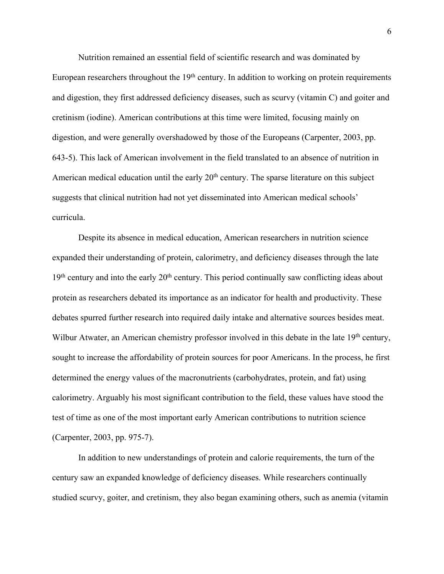Nutrition remained an essential field of scientific research and was dominated by

European researchers throughout the  $19<sup>th</sup>$  century. In addition to working on protein requirements and digestion, they first addressed deficiency diseases, such as scurvy (vitamin C) and goiter and cretinism (iodine). American contributions at this time were limited, focusing mainly on digestion, and were generally overshadowed by those of the Europeans (Carpenter, 2003, pp. 643-5). This lack of American involvement in the field translated to an absence of nutrition in American medical education until the early  $20<sup>th</sup>$  century. The sparse literature on this subject suggests that clinical nutrition had not yet disseminated into American medical schools' curricula.

Despite its absence in medical education, American researchers in nutrition science expanded their understanding of protein, calorimetry, and deficiency diseases through the late  $19<sup>th</sup>$  century and into the early  $20<sup>th</sup>$  century. This period continually saw conflicting ideas about protein as researchers debated its importance as an indicator for health and productivity. These debates spurred further research into required daily intake and alternative sources besides meat. Wilbur Atwater, an American chemistry professor involved in this debate in the late 19<sup>th</sup> century, sought to increase the affordability of protein sources for poor Americans. In the process, he first determined the energy values of the macronutrients (carbohydrates, protein, and fat) using calorimetry. Arguably his most significant contribution to the field, these values have stood the test of time as one of the most important early American contributions to nutrition science (Carpenter, 2003, pp. 975-7).

In addition to new understandings of protein and calorie requirements, the turn of the century saw an expanded knowledge of deficiency diseases. While researchers continually studied scurvy, goiter, and cretinism, they also began examining others, such as anemia (vitamin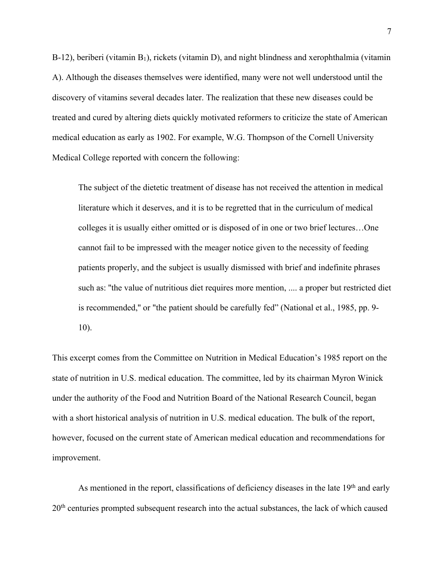B-12), beriberi (vitamin  $B_1$ ), rickets (vitamin D), and night blindness and xerophthalmia (vitamin A). Although the diseases themselves were identified, many were not well understood until the discovery of vitamins several decades later. The realization that these new diseases could be treated and cured by altering diets quickly motivated reformers to criticize the state of American medical education as early as 1902. For example, W.G. Thompson of the Cornell University Medical College reported with concern the following:

The subject of the dietetic treatment of disease has not received the attention in medical literature which it deserves, and it is to be regretted that in the curriculum of medical colleges it is usually either omitted or is disposed of in one or two brief lectures…One cannot fail to be impressed with the meager notice given to the necessity of feeding patients properly, and the subject is usually dismissed with brief and indefinite phrases such as: ''the value of nutritious diet requires more mention, .... a proper but restricted diet is recommended,'' or "the patient should be carefully fed" (National et al., 1985, pp. 9- 10).

This excerpt comes from the Committee on Nutrition in Medical Education's 1985 report on the state of nutrition in U.S. medical education. The committee, led by its chairman Myron Winick under the authority of the Food and Nutrition Board of the National Research Council, began with a short historical analysis of nutrition in U.S. medical education. The bulk of the report, however, focused on the current state of American medical education and recommendations for improvement.

As mentioned in the report, classifications of deficiency diseases in the late 19<sup>th</sup> and early 20<sup>th</sup> centuries prompted subsequent research into the actual substances, the lack of which caused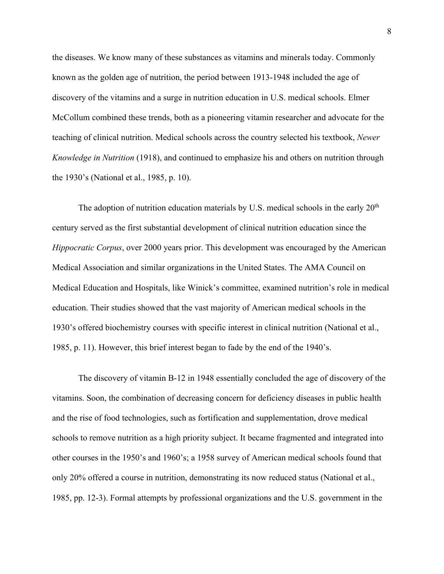the diseases. We know many of these substances as vitamins and minerals today. Commonly known as the golden age of nutrition, the period between 1913-1948 included the age of discovery of the vitamins and a surge in nutrition education in U.S. medical schools. Elmer McCollum combined these trends, both as a pioneering vitamin researcher and advocate for the teaching of clinical nutrition. Medical schools across the country selected his textbook, *Newer Knowledge in Nutrition* (1918), and continued to emphasize his and others on nutrition through the 1930's (National et al., 1985, p. 10).

The adoption of nutrition education materials by U.S. medical schools in the early  $20<sup>th</sup>$ century served as the first substantial development of clinical nutrition education since the *Hippocratic Corpus*, over 2000 years prior. This development was encouraged by the American Medical Association and similar organizations in the United States. The AMA Council on Medical Education and Hospitals, like Winick's committee, examined nutrition's role in medical education. Their studies showed that the vast majority of American medical schools in the 1930's offered biochemistry courses with specific interest in clinical nutrition (National et al., 1985, p. 11). However, this brief interest began to fade by the end of the 1940's.

The discovery of vitamin B-12 in 1948 essentially concluded the age of discovery of the vitamins. Soon, the combination of decreasing concern for deficiency diseases in public health and the rise of food technologies, such as fortification and supplementation, drove medical schools to remove nutrition as a high priority subject. It became fragmented and integrated into other courses in the 1950's and 1960's; a 1958 survey of American medical schools found that only 20% offered a course in nutrition, demonstrating its now reduced status (National et al., 1985, pp. 12-3). Formal attempts by professional organizations and the U.S. government in the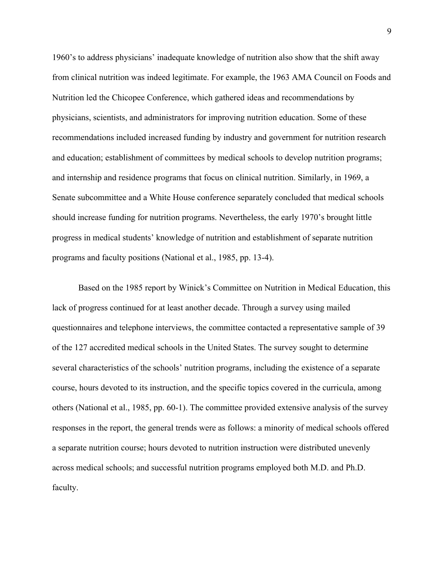1960's to address physicians' inadequate knowledge of nutrition also show that the shift away from clinical nutrition was indeed legitimate. For example, the 1963 AMA Council on Foods and Nutrition led the Chicopee Conference, which gathered ideas and recommendations by physicians, scientists, and administrators for improving nutrition education. Some of these recommendations included increased funding by industry and government for nutrition research and education; establishment of committees by medical schools to develop nutrition programs; and internship and residence programs that focus on clinical nutrition. Similarly, in 1969, a Senate subcommittee and a White House conference separately concluded that medical schools should increase funding for nutrition programs. Nevertheless, the early 1970's brought little progress in medical students' knowledge of nutrition and establishment of separate nutrition programs and faculty positions (National et al., 1985, pp. 13-4).

Based on the 1985 report by Winick's Committee on Nutrition in Medical Education, this lack of progress continued for at least another decade. Through a survey using mailed questionnaires and telephone interviews, the committee contacted a representative sample of 39 of the 127 accredited medical schools in the United States. The survey sought to determine several characteristics of the schools' nutrition programs, including the existence of a separate course, hours devoted to its instruction, and the specific topics covered in the curricula, among others (National et al., 1985, pp. 60-1). The committee provided extensive analysis of the survey responses in the report, the general trends were as follows: a minority of medical schools offered a separate nutrition course; hours devoted to nutrition instruction were distributed unevenly across medical schools; and successful nutrition programs employed both M.D. and Ph.D. faculty.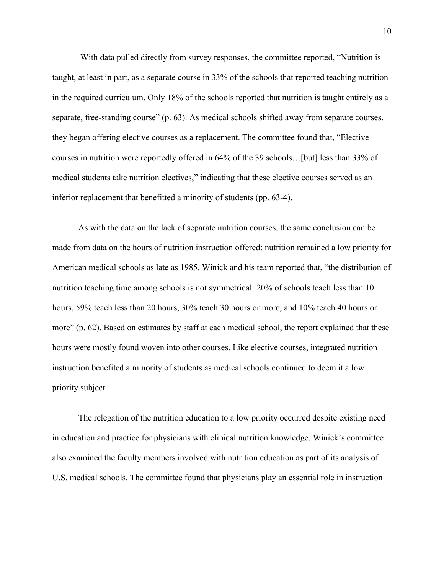With data pulled directly from survey responses, the committee reported, "Nutrition is taught, at least in part, as a separate course in 33% of the schools that reported teaching nutrition in the required curriculum. Only 18% of the schools reported that nutrition is taught entirely as a separate, free-standing course" (p. 63). As medical schools shifted away from separate courses, they began offering elective courses as a replacement. The committee found that, "Elective courses in nutrition were reportedly offered in 64% of the 39 schools…[but] less than 33% of medical students take nutrition electives," indicating that these elective courses served as an inferior replacement that benefitted a minority of students (pp. 63-4).

As with the data on the lack of separate nutrition courses, the same conclusion can be made from data on the hours of nutrition instruction offered: nutrition remained a low priority for American medical schools as late as 1985. Winick and his team reported that, "the distribution of nutrition teaching time among schools is not symmetrical: 20% of schools teach less than 10 hours, 59% teach less than 20 hours, 30% teach 30 hours or more, and 10% teach 40 hours or more" (p. 62). Based on estimates by staff at each medical school, the report explained that these hours were mostly found woven into other courses. Like elective courses, integrated nutrition instruction benefited a minority of students as medical schools continued to deem it a low priority subject.

The relegation of the nutrition education to a low priority occurred despite existing need in education and practice for physicians with clinical nutrition knowledge. Winick's committee also examined the faculty members involved with nutrition education as part of its analysis of U.S. medical schools. The committee found that physicians play an essential role in instruction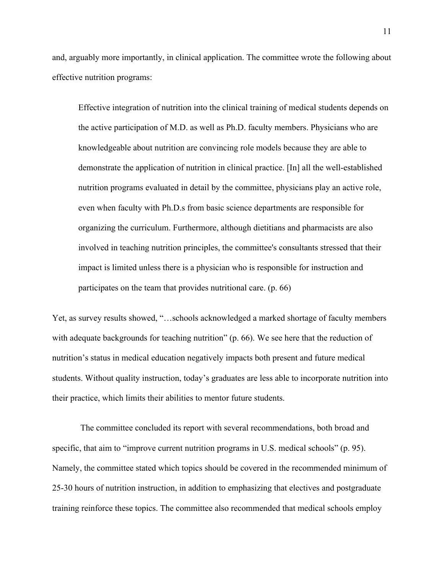and, arguably more importantly, in clinical application. The committee wrote the following about effective nutrition programs:

Effective integration of nutrition into the clinical training of medical students depends on the active participation of M.D. as well as Ph.D. faculty members. Physicians who are knowledgeable about nutrition are convincing role models because they are able to demonstrate the application of nutrition in clinical practice. [In] all the well-established nutrition programs evaluated in detail by the committee, physicians play an active role, even when faculty with Ph.D.s from basic science departments are responsible for organizing the curriculum. Furthermore, although dietitians and pharmacists are also involved in teaching nutrition principles, the committee's consultants stressed that their impact is limited unless there is a physician who is responsible for instruction and participates on the team that provides nutritional care. (p. 66)

Yet, as survey results showed, "…schools acknowledged a marked shortage of faculty members with adequate backgrounds for teaching nutrition" (p. 66). We see here that the reduction of nutrition's status in medical education negatively impacts both present and future medical students. Without quality instruction, today's graduates are less able to incorporate nutrition into their practice, which limits their abilities to mentor future students.

The committee concluded its report with several recommendations, both broad and specific, that aim to "improve current nutrition programs in U.S. medical schools" (p. 95). Namely, the committee stated which topics should be covered in the recommended minimum of 25-30 hours of nutrition instruction, in addition to emphasizing that electives and postgraduate training reinforce these topics. The committee also recommended that medical schools employ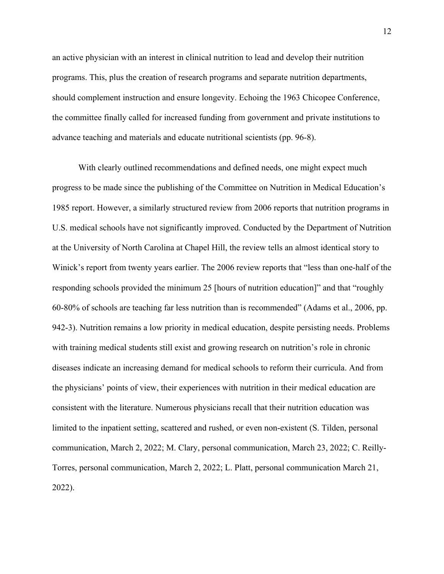an active physician with an interest in clinical nutrition to lead and develop their nutrition programs. This, plus the creation of research programs and separate nutrition departments, should complement instruction and ensure longevity. Echoing the 1963 Chicopee Conference, the committee finally called for increased funding from government and private institutions to advance teaching and materials and educate nutritional scientists (pp. 96-8).

With clearly outlined recommendations and defined needs, one might expect much progress to be made since the publishing of the Committee on Nutrition in Medical Education's 1985 report. However, a similarly structured review from 2006 reports that nutrition programs in U.S. medical schools have not significantly improved. Conducted by the Department of Nutrition at the University of North Carolina at Chapel Hill, the review tells an almost identical story to Winick's report from twenty years earlier. The 2006 review reports that "less than one-half of the responding schools provided the minimum 25 [hours of nutrition education]" and that "roughly 60-80% of schools are teaching far less nutrition than is recommended" (Adams et al., 2006, pp. 942-3). Nutrition remains a low priority in medical education, despite persisting needs. Problems with training medical students still exist and growing research on nutrition's role in chronic diseases indicate an increasing demand for medical schools to reform their curricula. And from the physicians' points of view, their experiences with nutrition in their medical education are consistent with the literature. Numerous physicians recall that their nutrition education was limited to the inpatient setting, scattered and rushed, or even non-existent (S. Tilden, personal communication, March 2, 2022; M. Clary, personal communication, March 23, 2022; C. Reilly-Torres, personal communication, March 2, 2022; L. Platt, personal communication March 21, 2022).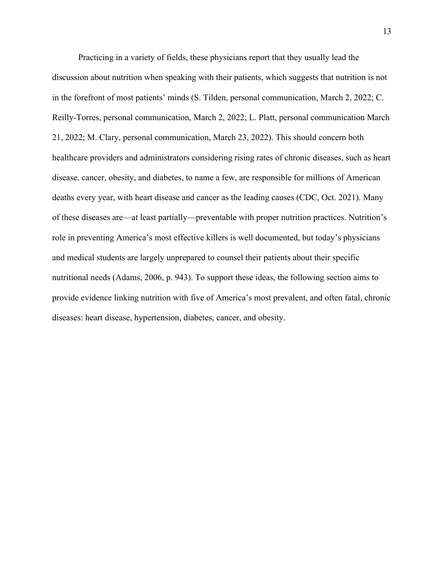Practicing in a variety of fields, these physicians report that they usually lead the discussion about nutrition when speaking with their patients, which suggests that nutrition is not in the forefront of most patients' minds (S. Tilden, personal communication, March 2, 2022; C. Reilly-Torres, personal communication, March 2, 2022; L. Platt, personal communication March 21, 2022; M. Clary, personal communication, March 23, 2022). This should concern both healthcare providers and administrators considering rising rates of chronic diseases, such as heart disease, cancer, obesity, and diabetes, to name a few, are responsible for millions of American deaths every year, with heart disease and cancer as the leading causes (CDC, Oct. 2021). Many of these diseases are—at least partially—preventable with proper nutrition practices. Nutrition's role in preventing America's most effective killers is well documented, but today's physicians and medical students are largely unprepared to counsel their patients about their specific nutritional needs (Adams, 2006, p. 943). To support these ideas, the following section aims to provide evidence linking nutrition with five of America's most prevalent, and often fatal, chronic diseases: heart disease, hypertension, diabetes, cancer, and obesity.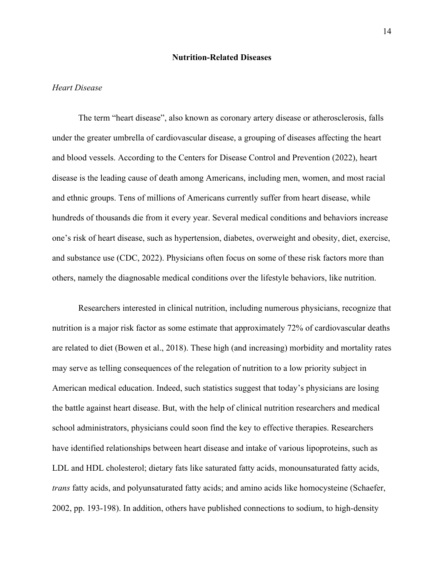#### **Nutrition-Related Diseases**

## *Heart Disease*

The term "heart disease", also known as coronary artery disease or atherosclerosis, falls under the greater umbrella of cardiovascular disease, a grouping of diseases affecting the heart and blood vessels. According to the Centers for Disease Control and Prevention (2022), heart disease is the leading cause of death among Americans, including men, women, and most racial and ethnic groups. Tens of millions of Americans currently suffer from heart disease, while hundreds of thousands die from it every year. Several medical conditions and behaviors increase one's risk of heart disease, such as hypertension, diabetes, overweight and obesity, diet, exercise, and substance use (CDC, 2022). Physicians often focus on some of these risk factors more than others, namely the diagnosable medical conditions over the lifestyle behaviors, like nutrition.

Researchers interested in clinical nutrition, including numerous physicians, recognize that nutrition is a major risk factor as some estimate that approximately 72% of cardiovascular deaths are related to diet (Bowen et al., 2018). These high (and increasing) morbidity and mortality rates may serve as telling consequences of the relegation of nutrition to a low priority subject in American medical education. Indeed, such statistics suggest that today's physicians are losing the battle against heart disease. But, with the help of clinical nutrition researchers and medical school administrators, physicians could soon find the key to effective therapies. Researchers have identified relationships between heart disease and intake of various lipoproteins, such as LDL and HDL cholesterol; dietary fats like saturated fatty acids, monounsaturated fatty acids, *trans* fatty acids, and polyunsaturated fatty acids; and amino acids like homocysteine (Schaefer, 2002, pp. 193-198). In addition, others have published connections to sodium, to high-density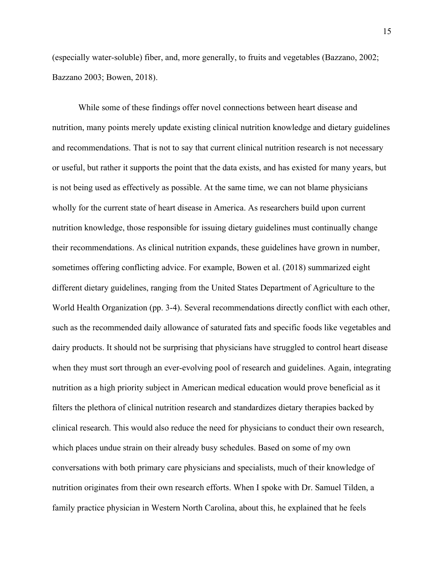(especially water-soluble) fiber, and, more generally, to fruits and vegetables (Bazzano, 2002; Bazzano 2003; Bowen, 2018).

While some of these findings offer novel connections between heart disease and nutrition, many points merely update existing clinical nutrition knowledge and dietary guidelines and recommendations. That is not to say that current clinical nutrition research is not necessary or useful, but rather it supports the point that the data exists, and has existed for many years, but is not being used as effectively as possible. At the same time, we can not blame physicians wholly for the current state of heart disease in America. As researchers build upon current nutrition knowledge, those responsible for issuing dietary guidelines must continually change their recommendations. As clinical nutrition expands, these guidelines have grown in number, sometimes offering conflicting advice. For example, Bowen et al. (2018) summarized eight different dietary guidelines, ranging from the United States Department of Agriculture to the World Health Organization (pp. 3-4). Several recommendations directly conflict with each other, such as the recommended daily allowance of saturated fats and specific foods like vegetables and dairy products. It should not be surprising that physicians have struggled to control heart disease when they must sort through an ever-evolving pool of research and guidelines. Again, integrating nutrition as a high priority subject in American medical education would prove beneficial as it filters the plethora of clinical nutrition research and standardizes dietary therapies backed by clinical research. This would also reduce the need for physicians to conduct their own research, which places undue strain on their already busy schedules. Based on some of my own conversations with both primary care physicians and specialists, much of their knowledge of nutrition originates from their own research efforts. When I spoke with Dr. Samuel Tilden, a family practice physician in Western North Carolina, about this, he explained that he feels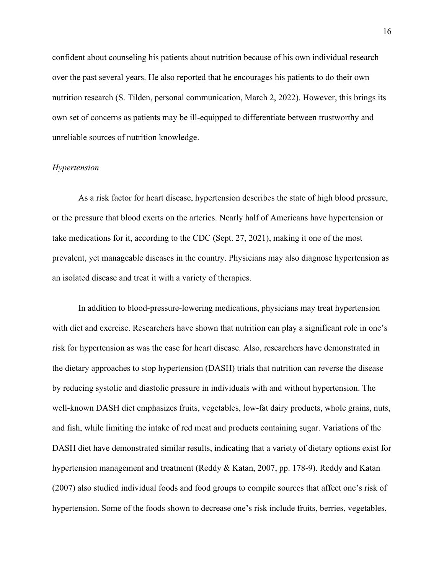confident about counseling his patients about nutrition because of his own individual research over the past several years. He also reported that he encourages his patients to do their own nutrition research (S. Tilden, personal communication, March 2, 2022). However, this brings its own set of concerns as patients may be ill-equipped to differentiate between trustworthy and unreliable sources of nutrition knowledge.

# *Hypertension*

As a risk factor for heart disease, hypertension describes the state of high blood pressure, or the pressure that blood exerts on the arteries. Nearly half of Americans have hypertension or take medications for it, according to the CDC (Sept. 27, 2021), making it one of the most prevalent, yet manageable diseases in the country. Physicians may also diagnose hypertension as an isolated disease and treat it with a variety of therapies.

In addition to blood-pressure-lowering medications, physicians may treat hypertension with diet and exercise. Researchers have shown that nutrition can play a significant role in one's risk for hypertension as was the case for heart disease. Also, researchers have demonstrated in the dietary approaches to stop hypertension (DASH) trials that nutrition can reverse the disease by reducing systolic and diastolic pressure in individuals with and without hypertension. The well-known DASH diet emphasizes fruits, vegetables, low-fat dairy products, whole grains, nuts, and fish, while limiting the intake of red meat and products containing sugar. Variations of the DASH diet have demonstrated similar results, indicating that a variety of dietary options exist for hypertension management and treatment (Reddy & Katan, 2007, pp. 178-9). Reddy and Katan (2007) also studied individual foods and food groups to compile sources that affect one's risk of hypertension. Some of the foods shown to decrease one's risk include fruits, berries, vegetables,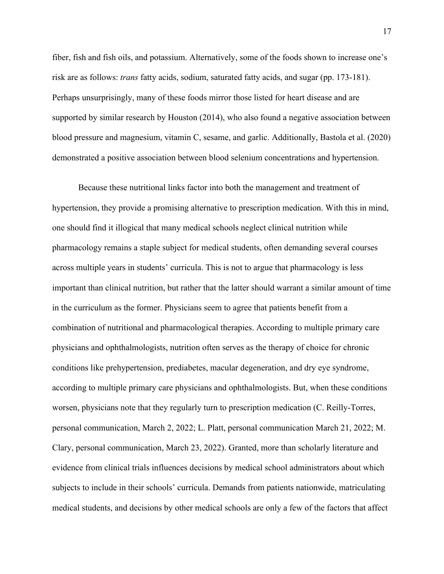fiber, fish and fish oils, and potassium. Alternatively, some of the foods shown to increase one's risk are as follows: *trans* fatty acids, sodium, saturated fatty acids, and sugar (pp. 173-181). Perhaps unsurprisingly, many of these foods mirror those listed for heart disease and are supported by similar research by Houston (2014), who also found a negative association between blood pressure and magnesium, vitamin C, sesame, and garlic. Additionally, Bastola et al. (2020) demonstrated a positive association between blood selenium concentrations and hypertension.

Because these nutritional links factor into both the management and treatment of hypertension, they provide a promising alternative to prescription medication. With this in mind, one should find it illogical that many medical schools neglect clinical nutrition while pharmacology remains a staple subject for medical students, often demanding several courses across multiple years in students' curricula. This is not to argue that pharmacology is less important than clinical nutrition, but rather that the latter should warrant a similar amount of time in the curriculum as the former. Physicians seem to agree that patients benefit from a combination of nutritional and pharmacological therapies. According to multiple primary care physicians and ophthalmologists, nutrition often serves as the therapy of choice for chronic conditions like prehypertension, prediabetes, macular degeneration, and dry eye syndrome, according to multiple primary care physicians and ophthalmologists. But, when these conditions worsen, physicians note that they regularly turn to prescription medication (C. Reilly-Torres, personal communication, March 2, 2022; L. Platt, personal communication March 21, 2022; M. Clary, personal communication, March 23, 2022). Granted, more than scholarly literature and evidence from clinical trials influences decisions by medical school administrators about which subjects to include in their schools' curricula. Demands from patients nationwide, matriculating medical students, and decisions by other medical schools are only a few of the factors that affect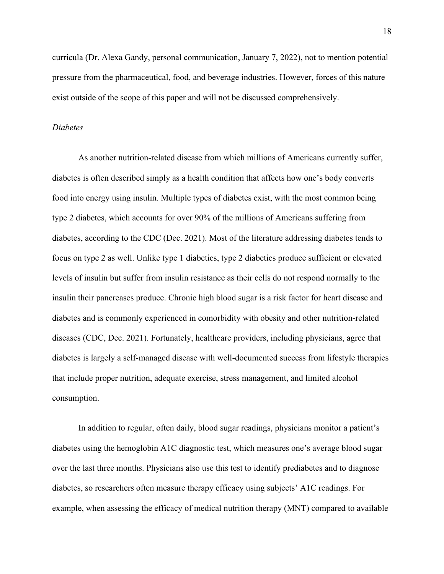curricula (Dr. Alexa Gandy, personal communication, January 7, 2022), not to mention potential pressure from the pharmaceutical, food, and beverage industries. However, forces of this nature exist outside of the scope of this paper and will not be discussed comprehensively.

## *Diabetes*

As another nutrition-related disease from which millions of Americans currently suffer, diabetes is often described simply as a health condition that affects how one's body converts food into energy using insulin. Multiple types of diabetes exist, with the most common being type 2 diabetes, which accounts for over 90% of the millions of Americans suffering from diabetes, according to the CDC (Dec. 2021). Most of the literature addressing diabetes tends to focus on type 2 as well. Unlike type 1 diabetics, type 2 diabetics produce sufficient or elevated levels of insulin but suffer from insulin resistance as their cells do not respond normally to the insulin their pancreases produce. Chronic high blood sugar is a risk factor for heart disease and diabetes and is commonly experienced in comorbidity with obesity and other nutrition-related diseases (CDC, Dec. 2021). Fortunately, healthcare providers, including physicians, agree that diabetes is largely a self-managed disease with well-documented success from lifestyle therapies that include proper nutrition, adequate exercise, stress management, and limited alcohol consumption.

In addition to regular, often daily, blood sugar readings, physicians monitor a patient's diabetes using the hemoglobin A1C diagnostic test, which measures one's average blood sugar over the last three months. Physicians also use this test to identify prediabetes and to diagnose diabetes, so researchers often measure therapy efficacy using subjects' A1C readings. For example, when assessing the efficacy of medical nutrition therapy (MNT) compared to available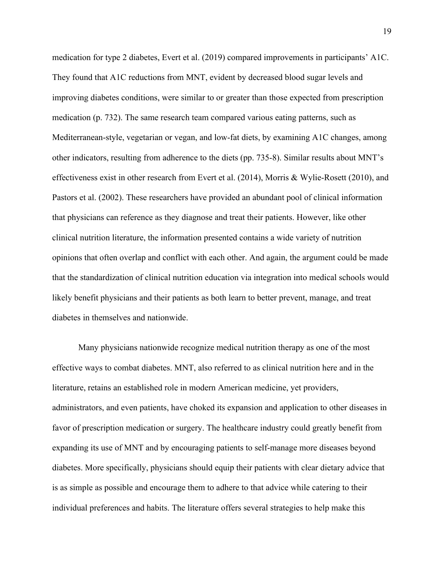medication for type 2 diabetes, Evert et al. (2019) compared improvements in participants' A1C. They found that A1C reductions from MNT, evident by decreased blood sugar levels and improving diabetes conditions, were similar to or greater than those expected from prescription medication (p. 732). The same research team compared various eating patterns, such as Mediterranean-style, vegetarian or vegan, and low-fat diets, by examining A1C changes, among other indicators, resulting from adherence to the diets (pp. 735-8). Similar results about MNT's effectiveness exist in other research from Evert et al. (2014), Morris & Wylie-Rosett (2010), and Pastors et al. (2002). These researchers have provided an abundant pool of clinical information that physicians can reference as they diagnose and treat their patients. However, like other clinical nutrition literature, the information presented contains a wide variety of nutrition opinions that often overlap and conflict with each other. And again, the argument could be made that the standardization of clinical nutrition education via integration into medical schools would likely benefit physicians and their patients as both learn to better prevent, manage, and treat diabetes in themselves and nationwide.

Many physicians nationwide recognize medical nutrition therapy as one of the most effective ways to combat diabetes. MNT, also referred to as clinical nutrition here and in the literature, retains an established role in modern American medicine, yet providers, administrators, and even patients, have choked its expansion and application to other diseases in favor of prescription medication or surgery. The healthcare industry could greatly benefit from expanding its use of MNT and by encouraging patients to self-manage more diseases beyond diabetes. More specifically, physicians should equip their patients with clear dietary advice that is as simple as possible and encourage them to adhere to that advice while catering to their individual preferences and habits. The literature offers several strategies to help make this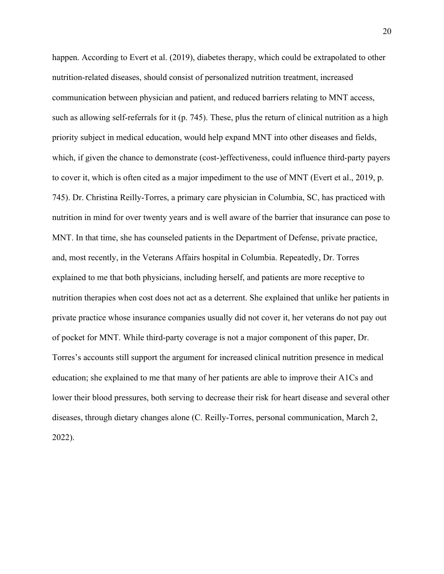happen. According to Evert et al. (2019), diabetes therapy, which could be extrapolated to other nutrition-related diseases, should consist of personalized nutrition treatment, increased communication between physician and patient, and reduced barriers relating to MNT access, such as allowing self-referrals for it (p. 745). These, plus the return of clinical nutrition as a high priority subject in medical education, would help expand MNT into other diseases and fields, which, if given the chance to demonstrate (cost-)effectiveness, could influence third-party payers to cover it, which is often cited as a major impediment to the use of MNT (Evert et al., 2019, p. 745). Dr. Christina Reilly-Torres, a primary care physician in Columbia, SC, has practiced with nutrition in mind for over twenty years and is well aware of the barrier that insurance can pose to MNT. In that time, she has counseled patients in the Department of Defense, private practice, and, most recently, in the Veterans Affairs hospital in Columbia. Repeatedly, Dr. Torres explained to me that both physicians, including herself, and patients are more receptive to nutrition therapies when cost does not act as a deterrent. She explained that unlike her patients in private practice whose insurance companies usually did not cover it, her veterans do not pay out of pocket for MNT. While third-party coverage is not a major component of this paper, Dr. Torres's accounts still support the argument for increased clinical nutrition presence in medical education; she explained to me that many of her patients are able to improve their A1Cs and lower their blood pressures, both serving to decrease their risk for heart disease and several other diseases, through dietary changes alone (C. Reilly-Torres, personal communication, March 2, 2022).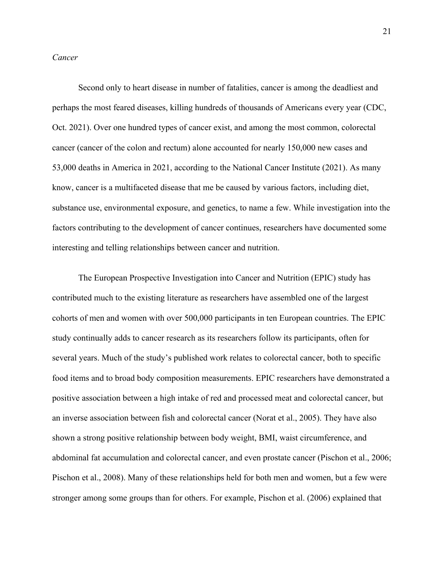# *Cancer*

Second only to heart disease in number of fatalities, cancer is among the deadliest and perhaps the most feared diseases, killing hundreds of thousands of Americans every year (CDC, Oct. 2021). Over one hundred types of cancer exist, and among the most common, colorectal cancer (cancer of the colon and rectum) alone accounted for nearly 150,000 new cases and 53,000 deaths in America in 2021, according to the National Cancer Institute (2021). As many know, cancer is a multifaceted disease that me be caused by various factors, including diet, substance use, environmental exposure, and genetics, to name a few. While investigation into the factors contributing to the development of cancer continues, researchers have documented some interesting and telling relationships between cancer and nutrition.

The European Prospective Investigation into Cancer and Nutrition (EPIC) study has contributed much to the existing literature as researchers have assembled one of the largest cohorts of men and women with over 500,000 participants in ten European countries. The EPIC study continually adds to cancer research as its researchers follow its participants, often for several years. Much of the study's published work relates to colorectal cancer, both to specific food items and to broad body composition measurements. EPIC researchers have demonstrated a positive association between a high intake of red and processed meat and colorectal cancer, but an inverse association between fish and colorectal cancer (Norat et al., 2005). They have also shown a strong positive relationship between body weight, BMI, waist circumference, and abdominal fat accumulation and colorectal cancer, and even prostate cancer (Pischon et al., 2006; Pischon et al., 2008). Many of these relationships held for both men and women, but a few were stronger among some groups than for others. For example, Pischon et al. (2006) explained that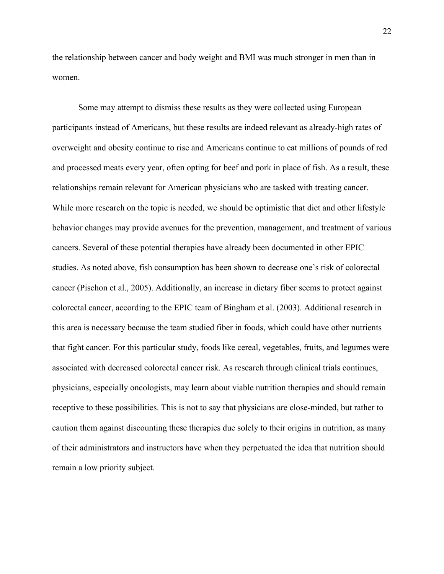the relationship between cancer and body weight and BMI was much stronger in men than in women.

Some may attempt to dismiss these results as they were collected using European participants instead of Americans, but these results are indeed relevant as already-high rates of overweight and obesity continue to rise and Americans continue to eat millions of pounds of red and processed meats every year, often opting for beef and pork in place of fish. As a result, these relationships remain relevant for American physicians who are tasked with treating cancer. While more research on the topic is needed, we should be optimistic that diet and other lifestyle behavior changes may provide avenues for the prevention, management, and treatment of various cancers. Several of these potential therapies have already been documented in other EPIC studies. As noted above, fish consumption has been shown to decrease one's risk of colorectal cancer (Pischon et al., 2005). Additionally, an increase in dietary fiber seems to protect against colorectal cancer, according to the EPIC team of Bingham et al. (2003). Additional research in this area is necessary because the team studied fiber in foods, which could have other nutrients that fight cancer. For this particular study, foods like cereal, vegetables, fruits, and legumes were associated with decreased colorectal cancer risk. As research through clinical trials continues, physicians, especially oncologists, may learn about viable nutrition therapies and should remain receptive to these possibilities. This is not to say that physicians are close-minded, but rather to caution them against discounting these therapies due solely to their origins in nutrition, as many of their administrators and instructors have when they perpetuated the idea that nutrition should remain a low priority subject.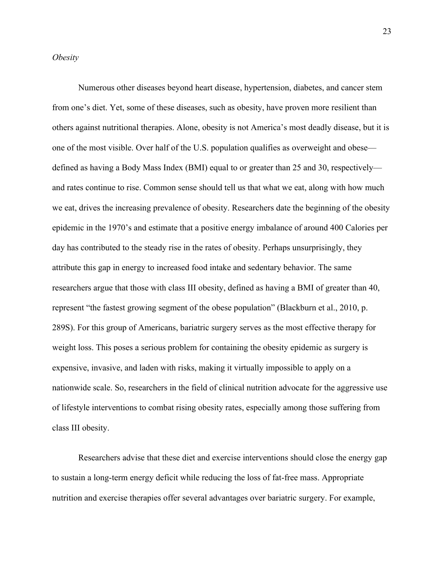#### *Obesity*

Numerous other diseases beyond heart disease, hypertension, diabetes, and cancer stem from one's diet. Yet, some of these diseases, such as obesity, have proven more resilient than others against nutritional therapies. Alone, obesity is not America's most deadly disease, but it is one of the most visible. Over half of the U.S. population qualifies as overweight and obese defined as having a Body Mass Index (BMI) equal to or greater than 25 and 30, respectively and rates continue to rise. Common sense should tell us that what we eat, along with how much we eat, drives the increasing prevalence of obesity. Researchers date the beginning of the obesity epidemic in the 1970's and estimate that a positive energy imbalance of around 400 Calories per day has contributed to the steady rise in the rates of obesity. Perhaps unsurprisingly, they attribute this gap in energy to increased food intake and sedentary behavior. The same researchers argue that those with class III obesity, defined as having a BMI of greater than 40, represent "the fastest growing segment of the obese population" (Blackburn et al., 2010, p. 289S). For this group of Americans, bariatric surgery serves as the most effective therapy for weight loss. This poses a serious problem for containing the obesity epidemic as surgery is expensive, invasive, and laden with risks, making it virtually impossible to apply on a nationwide scale. So, researchers in the field of clinical nutrition advocate for the aggressive use of lifestyle interventions to combat rising obesity rates, especially among those suffering from class III obesity.

Researchers advise that these diet and exercise interventions should close the energy gap to sustain a long-term energy deficit while reducing the loss of fat-free mass. Appropriate nutrition and exercise therapies offer several advantages over bariatric surgery. For example,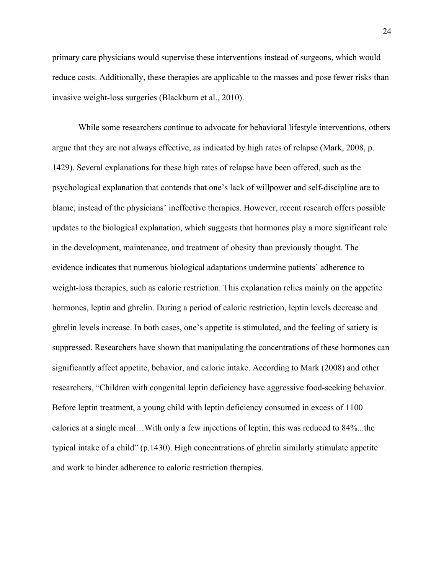primary care physicians would supervise these interventions instead of surgeons, which would reduce costs. Additionally, these therapies are applicable to the masses and pose fewer risks than invasive weight-loss surgeries (Blackburn et al., 2010).

While some researchers continue to advocate for behavioral lifestyle interventions, others argue that they are not always effective, as indicated by high rates of relapse (Mark, 2008, p. 1429). Several explanations for these high rates of relapse have been offered, such as the psychological explanation that contends that one's lack of willpower and self-discipline are to blame, instead of the physicians' ineffective therapies. However, recent research offers possible updates to the biological explanation, which suggests that hormones play a more significant role in the development, maintenance, and treatment of obesity than previously thought. The evidence indicates that numerous biological adaptations undermine patients' adherence to weight-loss therapies, such as calorie restriction. This explanation relies mainly on the appetite hormones, leptin and ghrelin. During a period of caloric restriction, leptin levels decrease and ghrelin levels increase. In both cases, one's appetite is stimulated, and the feeling of satiety is suppressed. Researchers have shown that manipulating the concentrations of these hormones can significantly affect appetite, behavior, and calorie intake. According to Mark (2008) and other researchers, "Children with congenital leptin deficiency have aggressive food-seeking behavior. Before leptin treatment, a young child with leptin deficiency consumed in excess of 1100 calories at a single meal…With only a few injections of leptin, this was reduced to 84%...the typical intake of a child" (p.1430). High concentrations of ghrelin similarly stimulate appetite and work to hinder adherence to caloric restriction therapies.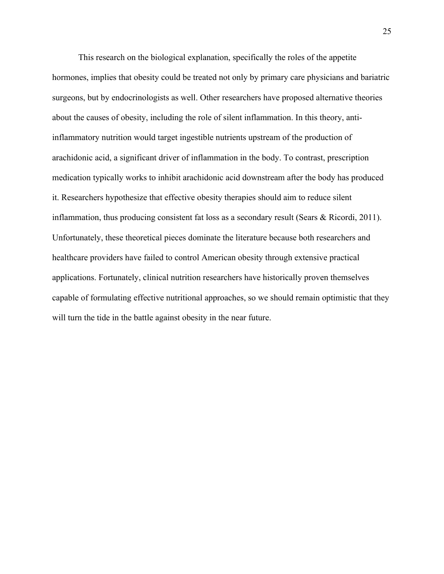This research on the biological explanation, specifically the roles of the appetite hormones, implies that obesity could be treated not only by primary care physicians and bariatric surgeons, but by endocrinologists as well. Other researchers have proposed alternative theories about the causes of obesity, including the role of silent inflammation. In this theory, antiinflammatory nutrition would target ingestible nutrients upstream of the production of arachidonic acid, a significant driver of inflammation in the body. To contrast, prescription medication typically works to inhibit arachidonic acid downstream after the body has produced it. Researchers hypothesize that effective obesity therapies should aim to reduce silent inflammation, thus producing consistent fat loss as a secondary result (Sears & Ricordi, 2011). Unfortunately, these theoretical pieces dominate the literature because both researchers and healthcare providers have failed to control American obesity through extensive practical applications. Fortunately, clinical nutrition researchers have historically proven themselves capable of formulating effective nutritional approaches, so we should remain optimistic that they will turn the tide in the battle against obesity in the near future.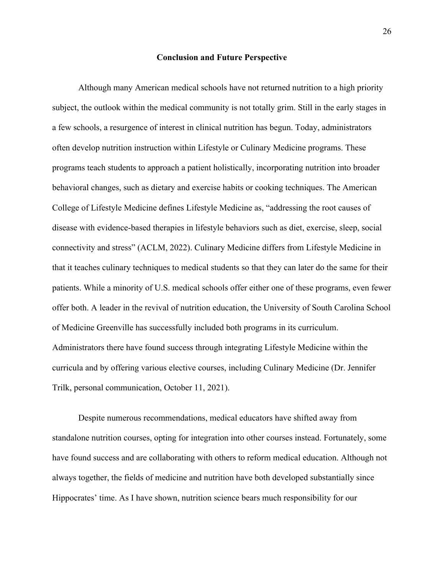#### **Conclusion and Future Perspective**

Although many American medical schools have not returned nutrition to a high priority subject, the outlook within the medical community is not totally grim. Still in the early stages in a few schools, a resurgence of interest in clinical nutrition has begun. Today, administrators often develop nutrition instruction within Lifestyle or Culinary Medicine programs. These programs teach students to approach a patient holistically, incorporating nutrition into broader behavioral changes, such as dietary and exercise habits or cooking techniques. The American College of Lifestyle Medicine defines Lifestyle Medicine as, "addressing the root causes of disease with evidence-based therapies in lifestyle behaviors such as diet, exercise, sleep, social connectivity and stress" (ACLM, 2022). Culinary Medicine differs from Lifestyle Medicine in that it teaches culinary techniques to medical students so that they can later do the same for their patients. While a minority of U.S. medical schools offer either one of these programs, even fewer offer both. A leader in the revival of nutrition education, the University of South Carolina School of Medicine Greenville has successfully included both programs in its curriculum. Administrators there have found success through integrating Lifestyle Medicine within the curricula and by offering various elective courses, including Culinary Medicine (Dr. Jennifer Trilk, personal communication, October 11, 2021).

Despite numerous recommendations, medical educators have shifted away from standalone nutrition courses, opting for integration into other courses instead. Fortunately, some have found success and are collaborating with others to reform medical education. Although not always together, the fields of medicine and nutrition have both developed substantially since Hippocrates' time. As I have shown, nutrition science bears much responsibility for our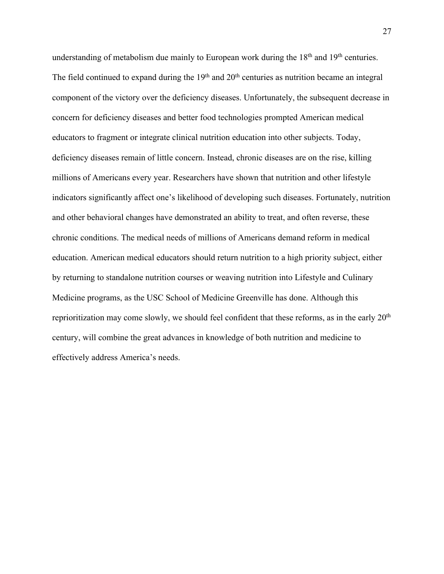understanding of metabolism due mainly to European work during the  $18<sup>th</sup>$  and  $19<sup>th</sup>$  centuries. The field continued to expand during the  $19<sup>th</sup>$  and  $20<sup>th</sup>$  centuries as nutrition became an integral component of the victory over the deficiency diseases. Unfortunately, the subsequent decrease in concern for deficiency diseases and better food technologies prompted American medical educators to fragment or integrate clinical nutrition education into other subjects. Today, deficiency diseases remain of little concern. Instead, chronic diseases are on the rise, killing millions of Americans every year. Researchers have shown that nutrition and other lifestyle indicators significantly affect one's likelihood of developing such diseases. Fortunately, nutrition and other behavioral changes have demonstrated an ability to treat, and often reverse, these chronic conditions. The medical needs of millions of Americans demand reform in medical education. American medical educators should return nutrition to a high priority subject, either by returning to standalone nutrition courses or weaving nutrition into Lifestyle and Culinary Medicine programs, as the USC School of Medicine Greenville has done. Although this reprioritization may come slowly, we should feel confident that these reforms, as in the early 20th century, will combine the great advances in knowledge of both nutrition and medicine to effectively address America's needs.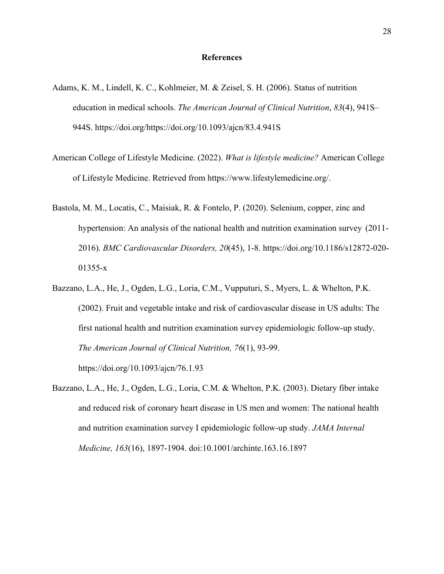#### **References**

- Adams, K. M., Lindell, K. C., Kohlmeier, M. & Zeisel, S. H. (2006). Status of nutrition education in medical schools. *The American Journal of Clinical Nutrition*, *83*(4), 941S– 944S. https://doi.org/https://doi.org/10.1093/ajcn/83.4.941S
- American College of Lifestyle Medicine. (2022). *What is lifestyle medicine?* American College of Lifestyle Medicine. Retrieved from https://www.lifestylemedicine.org/.
- Bastola, M. M., Locatis, C., Maisiak, R. & Fontelo, P. (2020). Selenium, copper, zinc and hypertension: An analysis of the national health and nutrition examination survey (2011- 2016). *BMC Cardiovascular Disorders, 20*(45), 1-8. https://doi.org/10.1186/s12872-020- 01355-x
- Bazzano, L.A., He, J., Ogden, L.G., Loria, C.M., Vupputuri, S., Myers, L. & Whelton, P.K. (2002). Fruit and vegetable intake and risk of cardiovascular disease in US adults: The first national health and nutrition examination survey epidemiologic follow-up study. *The American Journal of Clinical Nutrition, 76*(1), 93-99.

https://doi.org/10.1093/ajcn/76.1.93

Bazzano, L.A., He, J., Ogden, L.G., Loria, C.M. & Whelton, P.K. (2003). Dietary fiber intake and reduced risk of coronary heart disease in US men and women: The national health and nutrition examination survey I epidemiologic follow-up study. *JAMA Internal Medicine, 163*(16), 1897-1904. doi:10.1001/archinte.163.16.1897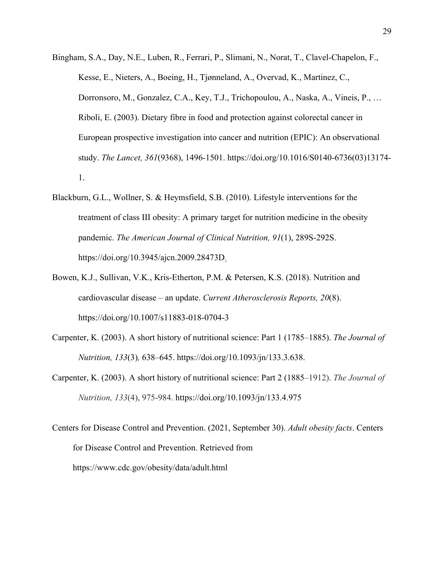- Bingham, S.A., Day, N.E., Luben, R., Ferrari, P., Slimani, N., Norat, T., Clavel-Chapelon, F., Kesse, E., Nieters, A., Boeing, H., Tjønneland, A., Overvad, K., Martinez, C., Dorronsoro, M., Gonzalez, C.A., Key, T.J., Trichopoulou, A., Naska, A., Vineis, P., … Riboli, E. (2003). Dietary fibre in food and protection against colorectal cancer in European prospective investigation into cancer and nutrition (EPIC): An observational study. *The Lancet, 361*(9368), 1496-1501. https://doi.org/10.1016/S0140-6736(03)13174- 1.
- Blackburn, G.L., Wollner, S. & Heymsfield, S.B. (2010). Lifestyle interventions for the treatment of class III obesity: A primary target for nutrition medicine in the obesity pandemic. *The American Journal of Clinical Nutrition, 91*(1), 289S-292S. https://doi.org/10.3945/ajcn.2009.28473D.
- Bowen, K.J., Sullivan, V.K., Kris-Etherton, P.M. & Petersen, K.S. (2018). Nutrition and cardiovascular disease – an update. *Current Atherosclerosis Reports, 20*(8). https://doi.org/10.1007/s11883-018-0704-3
- Carpenter, K. (2003). A short history of nutritional science: Part 1 (1785–1885). *The Journal of Nutrition, 133*(3)*,* 638–645. https://doi.org/10.1093/jn/133.3.638.
- Carpenter, K. (2003). A short history of nutritional science: Part 2 (1885–1912). *The Journal of Nutrition, 133*(4), 975-984. https://doi.org/10.1093/jn/133.4.975
- Centers for Disease Control and Prevention. (2021, September 30). *Adult obesity facts*. Centers for Disease Control and Prevention. Retrieved from https://www.cdc.gov/obesity/data/adult.html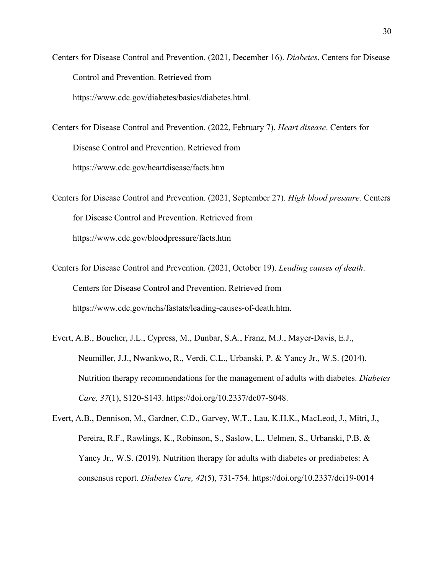Centers for Disease Control and Prevention. (2021, December 16). *Diabetes*. Centers for Disease Control and Prevention. Retrieved from https://www.cdc.gov/diabetes/basics/diabetes.html.

Centers for Disease Control and Prevention. (2022, February 7). *Heart disease*. Centers for Disease Control and Prevention. Retrieved from https://www.cdc.gov/heartdisease/facts.htm

Centers for Disease Control and Prevention. (2021, September 27). *High blood pressure.* Centers for Disease Control and Prevention. Retrieved from https://www.cdc.gov/bloodpressure/facts.htm

Centers for Disease Control and Prevention. (2021, October 19). *Leading causes of death*. Centers for Disease Control and Prevention. Retrieved from https://www.cdc.gov/nchs/fastats/leading-causes-of-death.htm.

Evert, A.B., Boucher, J.L., Cypress, M., Dunbar, S.A., Franz, M.J., Mayer-Davis, E.J., Neumiller, J.J., Nwankwo, R., Verdi, C.L., Urbanski, P. & Yancy Jr., W.S. (2014). Nutrition therapy recommendations for the management of adults with diabetes. *Diabetes Care, 37*(1), S120-S143. https://doi.org/10.2337/dc07-S048.

Evert, A.B., Dennison, M., Gardner, C.D., Garvey, W.T., Lau, K.H.K., MacLeod, J., Mitri, J., Pereira, R.F., Rawlings, K., Robinson, S., Saslow, L., Uelmen, S., Urbanski, P.B. & Yancy Jr., W.S. (2019). Nutrition therapy for adults with diabetes or prediabetes: A consensus report. *Diabetes Care, 42*(5), 731-754. https://doi.org/10.2337/dci19-0014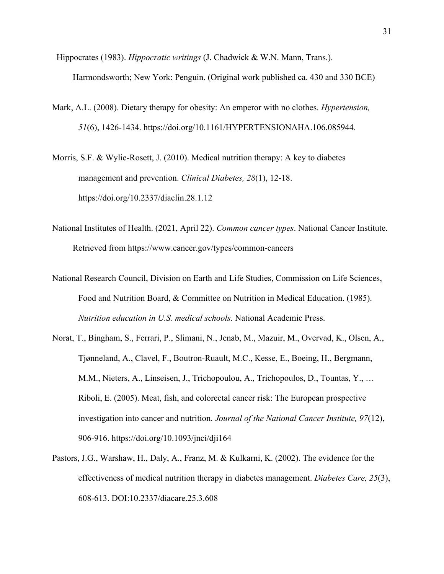- Hippocrates (1983). *Hippocratic writings* (J. Chadwick & W.N. Mann, Trans.). Harmondsworth; New York: Penguin. (Original work published ca. 430 and 330 BCE)
- Mark, A.L. (2008). Dietary therapy for obesity: An emperor with no clothes. *Hypertension, 51*(6), 1426-1434. https://doi.org/10.1161/HYPERTENSIONAHA.106.085944.
- Morris, S.F. & Wylie-Rosett, J. (2010). Medical nutrition therapy: A key to diabetes management and prevention. *Clinical Diabetes, 28*(1), 12-18. https://doi.org/10.2337/diaclin.28.1.12
- National Institutes of Health. (2021, April 22). *Common cancer types*. National Cancer Institute. Retrieved from https://www.cancer.gov/types/common-cancers
- National Research Council, Division on Earth and Life Studies, Commission on Life Sciences, Food and Nutrition Board, & Committee on Nutrition in Medical Education. (1985). *Nutrition education in U.S. medical schools.* National Academic Press.
- Norat, T., Bingham, S., Ferrari, P., Slimani, N., Jenab, M., Mazuir, M., Overvad, K., Olsen, A., Tjønneland, A., Clavel, F., Boutron-Ruault, M.C., Kesse, E., Boeing, H., Bergmann, M.M., Nieters, A., Linseisen, J., Trichopoulou, A., Trichopoulos, D., Tountas, Y., … Riboli, E. (2005). Meat, fish, and colorectal cancer risk: The European prospective investigation into cancer and nutrition. *Journal of the National Cancer Institute, 97*(12), 906-916. https://doi.org/10.1093/jnci/dji164
- Pastors, J.G., Warshaw, H., Daly, A., Franz, M. & Kulkarni, K. (2002). The evidence for the effectiveness of medical nutrition therapy in diabetes management. *Diabetes Care, 25*(3), 608-613. DOI:10.2337/diacare.25.3.608